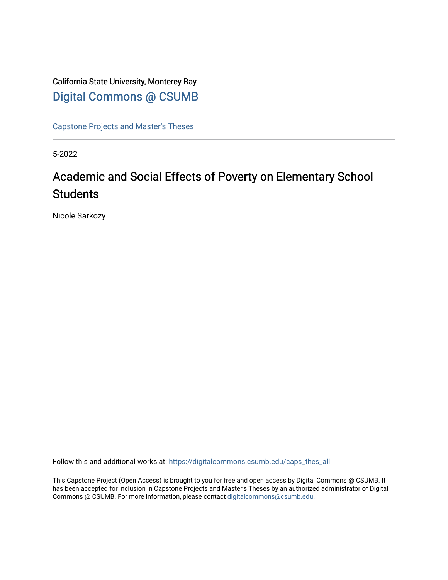# California State University, Monterey Bay [Digital Commons @ CSUMB](https://digitalcommons.csumb.edu/)

[Capstone Projects and Master's Theses](https://digitalcommons.csumb.edu/caps_thes_all)

5-2022

# Academic and Social Effects of Poverty on Elementary School **Students**

Nicole Sarkozy

Follow this and additional works at: [https://digitalcommons.csumb.edu/caps\\_thes\\_all](https://digitalcommons.csumb.edu/caps_thes_all?utm_source=digitalcommons.csumb.edu%2Fcaps_thes_all%2F1278&utm_medium=PDF&utm_campaign=PDFCoverPages)

This Capstone Project (Open Access) is brought to you for free and open access by Digital Commons @ CSUMB. It has been accepted for inclusion in Capstone Projects and Master's Theses by an authorized administrator of Digital Commons @ CSUMB. For more information, please contact [digitalcommons@csumb.edu](mailto:digitalcommons@csumb.edu).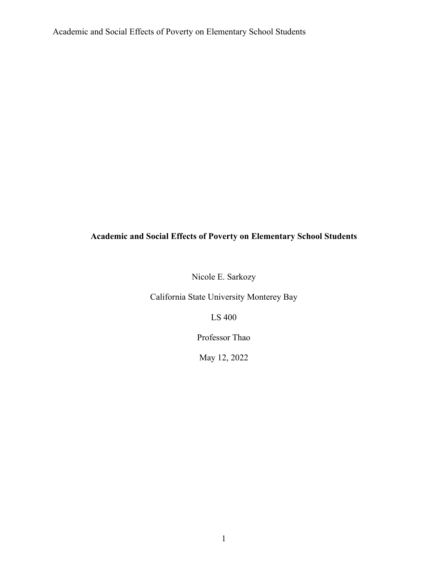Nicole E. Sarkozy

California State University Monterey Bay

LS 400

Professor Thao

May 12, 2022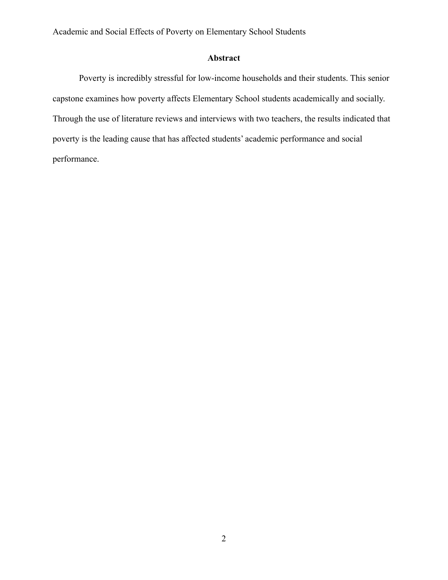# **Abstract**

Poverty is incredibly stressful for low-income households and their students. This senior capstone examines how poverty affects Elementary School students academically and socially. Through the use of literature reviews and interviews with two teachers, the results indicated that poverty is the leading cause that has affected students' academic performance and social performance.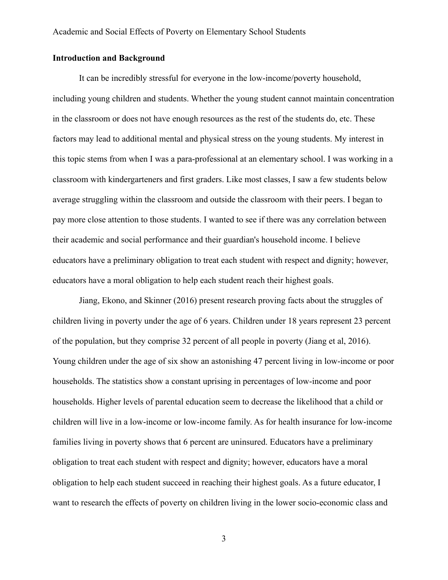# **Introduction and Background**

It can be incredibly stressful for everyone in the low-income/poverty household, including young children and students. Whether the young student cannot maintain concentration in the classroom or does not have enough resources as the rest of the students do, etc. These factors may lead to additional mental and physical stress on the young students. My interest in this topic stems from when I was a para-professional at an elementary school. I was working in a classroom with kindergarteners and first graders. Like most classes, I saw a few students below average struggling within the classroom and outside the classroom with their peers. I began to pay more close attention to those students. I wanted to see if there was any correlation between their academic and social performance and their guardian's household income. I believe educators have a preliminary obligation to treat each student with respect and dignity; however, educators have a moral obligation to help each student reach their highest goals.

Jiang, Ekono, and Skinner (2016) present research proving facts about the struggles of children living in poverty under the age of 6 years. Children under 18 years represent 23 percent of the population, but they comprise 32 percent of all people in poverty (Jiang et al, 2016). Young children under the age of six show an astonishing 47 percent living in low-income or poor households. The statistics show a constant uprising in percentages of low-income and poor households. Higher levels of parental education seem to decrease the likelihood that a child or children will live in a low-income or low-income family. As for health insurance for low-income families living in poverty shows that 6 percent are uninsured. Educators have a preliminary obligation to treat each student with respect and dignity; however, educators have a moral obligation to help each student succeed in reaching their highest goals. As a future educator, I want to research the effects of poverty on children living in the lower socio-economic class and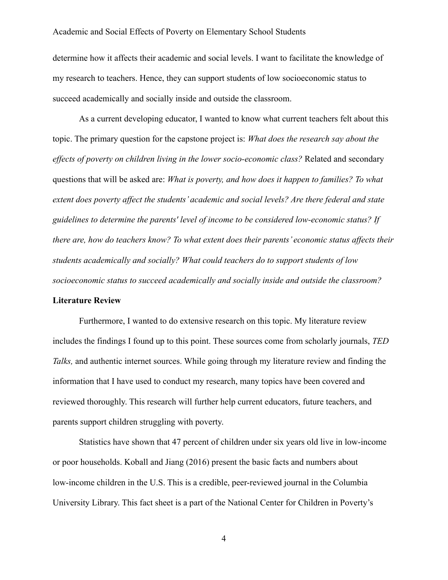determine how it affects their academic and social levels. I want to facilitate the knowledge of my research to teachers. Hence, they can support students of low socioeconomic status to succeed academically and socially inside and outside the classroom.

As a current developing educator, I wanted to know what current teachers felt about this topic. The primary question for the capstone project is: *What does the research say about the effects of poverty on children living in the lower socio-economic class?* Related and secondary questions that will be asked are: *What is poverty, and how does it happen to families? To what extent does poverty affect the students' academic and social levels? Are there federal and state guidelines to determine the parents' level of income to be considered low-economic status? If there are, how do teachers know? To what extent does their parents' economic status affects their students academically and socially? What could teachers do to support students of low socioeconomic status to succeed academically and socially inside and outside the classroom?* **Literature Review**

Furthermore, I wanted to do extensive research on this topic. My literature review includes the findings I found up to this point. These sources come from scholarly journals, *TED Talks,* and authentic internet sources. While going through my literature review and finding the information that I have used to conduct my research, many topics have been covered and reviewed thoroughly. This research will further help current educators, future teachers, and parents support children struggling with poverty.

Statistics have shown that 47 percent of children under six years old live in low-income or poor households. Koball and Jiang (2016) present the basic facts and numbers about low-income children in the U.S. This is a credible, peer-reviewed journal in the Columbia University Library. This fact sheet is a part of the National Center for Children in Poverty's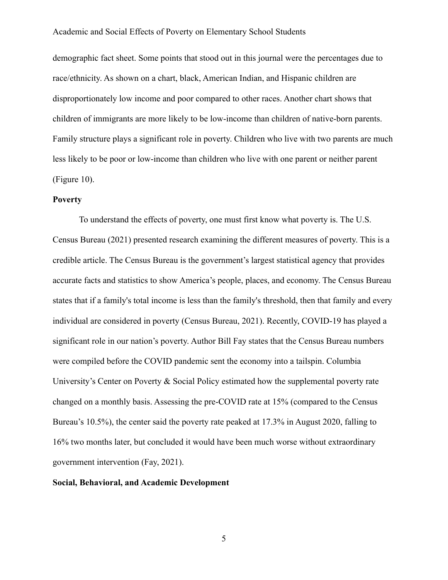demographic fact sheet. Some points that stood out in this journal were the percentages due to race/ethnicity. As shown on a chart, black, American Indian, and Hispanic children are disproportionately low income and poor compared to other races. Another chart shows that children of immigrants are more likely to be low-income than children of native-born parents. Family structure plays a significant role in poverty. Children who live with two parents are much less likely to be poor or low-income than children who live with one parent or neither parent (Figure 10).

#### **Poverty**

To understand the effects of poverty, one must first know what poverty is. The U.S. Census Bureau (2021) presented research examining the different measures of poverty. This is a credible article. The Census Bureau is the government's largest statistical agency that provides accurate facts and statistics to show America's people, places, and economy. The Census Bureau states that if a family's total income is less than the family's threshold, then that family and every individual are considered in poverty (Census Bureau, 2021). Recently, COVID-19 has played a significant role in our nation's poverty. Author Bill Fay states that the Census Bureau numbers were compiled before the COVID pandemic sent the economy into a tailspin. Columbia University's Center on Poverty & Social Policy estimated how the supplemental poverty rate changed on a monthly basis. Assessing the pre-COVID rate at 15% (compared to the Census Bureau's 10.5%), the center said the poverty rate peaked at 17.3% in August 2020, falling to 16% two months later, but concluded it would have been much worse without extraordinary government intervention (Fay, 2021).

#### **Social, Behavioral, and Academic Development**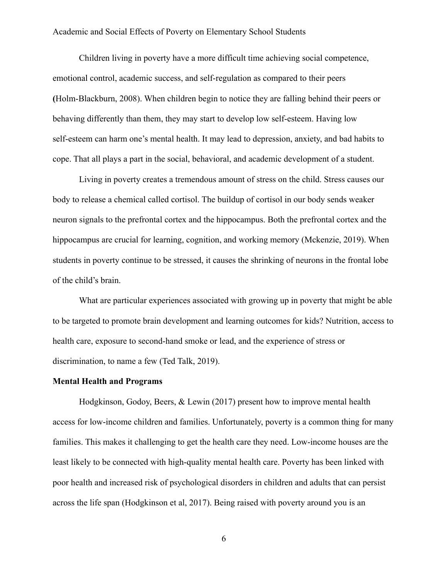Children living in poverty have a more difficult time achieving social competence, emotional control, academic success, and self-regulation as compared to their peers **(**Holm-Blackburn, 2008). When children begin to notice they are falling behind their peers or behaving differently than them, they may start to develop low self-esteem. Having low self-esteem can harm one's mental health. It may lead to depression, anxiety, and bad habits to cope. That all plays a part in the social, behavioral, and academic development of a student.

Living in poverty creates a tremendous amount of stress on the child. Stress causes our body to release a chemical called cortisol. The buildup of cortisol in our body sends weaker neuron signals to the prefrontal cortex and the hippocampus. Both the prefrontal cortex and the hippocampus are crucial for learning, cognition, and working memory (Mckenzie, 2019). When students in poverty continue to be stressed, it causes the shrinking of neurons in the frontal lobe of the child's brain.

What are particular experiences associated with growing up in poverty that might be able to be targeted to promote brain development and learning outcomes for kids? Nutrition, access to health care, exposure to second-hand smoke or lead, and the experience of stress or discrimination, to name a few (Ted Talk, 2019).

#### **Mental Health and Programs**

Hodgkinson, Godoy, Beers, & Lewin (2017) present how to improve mental health access for low-income children and families. Unfortunately, poverty is a common thing for many families. This makes it challenging to get the health care they need. Low-income houses are the least likely to be connected with high-quality mental health care. Poverty has been linked with poor health and increased risk of psychological disorders in children and adults that can persist across the life span (Hodgkinson et al, 2017). Being raised with poverty around you is an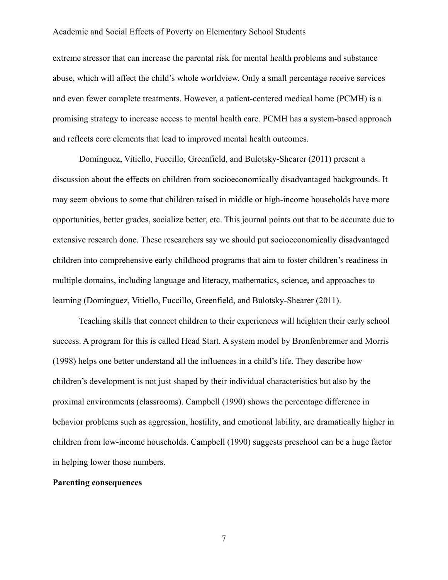extreme stressor that can increase the parental risk for mental health problems and substance abuse, which will affect the child's whole worldview. Only a small percentage receive services and even fewer complete treatments. However, a patient-centered medical home (PCMH) is a promising strategy to increase access to mental health care. PCMH has a system-based approach and reflects core elements that lead to improved mental health outcomes.

Domínguez, Vitiello, Fuccillo, Greenfield, and Bulotsky-Shearer (2011) present a discussion about the effects on children from socioeconomically disadvantaged backgrounds. It may seem obvious to some that children raised in middle or high-income households have more opportunities, better grades, socialize better, etc. This journal points out that to be accurate due to extensive research done. These researchers say we should put socioeconomically disadvantaged children into comprehensive early childhood programs that aim to foster children's readiness in multiple domains, including language and literacy, mathematics, science, and approaches to learning (Domínguez, Vitiello, Fuccillo, Greenfield, and Bulotsky-Shearer (2011).

Teaching skills that connect children to their experiences will heighten their early school success. A program for this is called Head Start. A system model by Bronfenbrenner and Morris (1998) helps one better understand all the influences in a child's life. They describe how children's development is not just shaped by their individual characteristics but also by the proximal environments (classrooms). Campbell (1990) shows the percentage difference in behavior problems such as aggression, hostility, and emotional lability, are dramatically higher in children from low-income households. Campbell (1990) suggests preschool can be a huge factor in helping lower those numbers.

#### **Parenting consequences**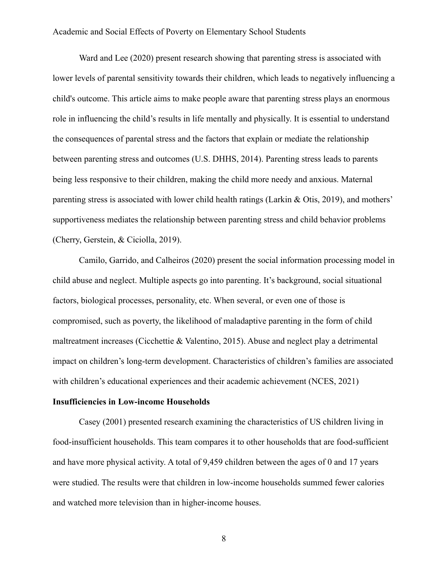Ward and Lee (2020) present research showing that parenting stress is associated with lower levels of parental sensitivity towards their children, which leads to negatively influencing a child's outcome. This article aims to make people aware that parenting stress plays an enormous role in influencing the child's results in life mentally and physically. It is essential to understand the consequences of parental stress and the factors that explain or mediate the relationship between parenting stress and outcomes (U.S. DHHS, 2014). Parenting stress leads to parents being less responsive to their children, making the child more needy and anxious. Maternal parenting stress is associated with lower child health ratings (Larkin & Otis, 2019), and mothers' supportiveness mediates the relationship between parenting stress and child behavior problems ([Cherry, Gerstein, & Ciciolla, 2019\)](https://www.ncbi.nlm.nih.gov/pmc/articles/PMC7425837/#R8).

Camilo, Garrido, and Calheiros (2020) present the social information processing model in child abuse and neglect. Multiple aspects go into parenting. It's background, social situational factors, biological processes, personality, etc. When several, or even one of those is compromised, such as poverty, the likelihood of maladaptive parenting in the form of child maltreatment increases (Cicchettie & Valentino, 2015). Abuse and neglect play a detrimental impact on children's long-term development. Characteristics of children's families are associated with children's educational experiences and their academic achievement (NCES, 2021)

#### **Insufficiencies in Low-income Households**

Casey (2001) presented research examining the characteristics of US children living in food-insufficient households. This team compares it to other households that are food-sufficient and have more physical activity. A total of 9,459 children between the ages of 0 and 17 years were studied. The results were that children in low-income households summed fewer calories and watched more television than in higher-income houses.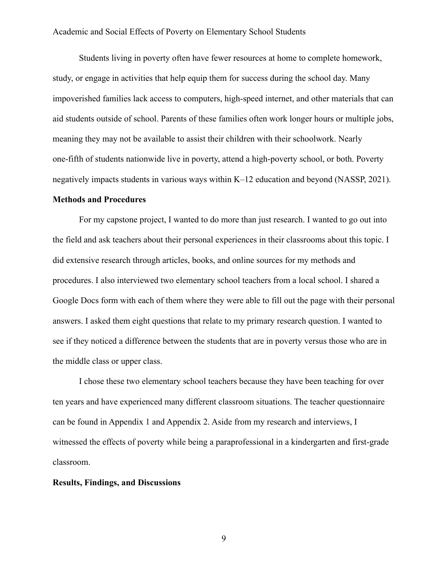Students living in poverty often have fewer resources at home to complete homework, study, or engage in activities that help equip them for success during the school day. Many impoverished families lack access to computers, high-speed internet, and other materials that can aid students outside of school. Parents of these families often work longer hours or multiple jobs, meaning they may not be available to assist their children with their schoolwork. Nearly one-fifth of students nationwide live in poverty, attend a high-poverty school, or both. Poverty negatively impacts students in various ways within K–12 education and beyond (NASSP, 2021).

#### **Methods and Procedures**

For my capstone project, I wanted to do more than just research. I wanted to go out into the field and ask teachers about their personal experiences in their classrooms about this topic. I did extensive research through articles, books, and online sources for my methods and procedures. I also interviewed two elementary school teachers from a local school. I shared a Google Docs form with each of them where they were able to fill out the page with their personal answers. I asked them eight questions that relate to my primary research question. I wanted to see if they noticed a difference between the students that are in poverty versus those who are in the middle class or upper class.

I chose these two elementary school teachers because they have been teaching for over ten years and have experienced many different classroom situations. The teacher questionnaire can be found in Appendix 1 and Appendix 2. Aside from my research and interviews, I witnessed the effects of poverty while being a paraprofessional in a kindergarten and first-grade classroom.

#### **Results, Findings, and Discussions**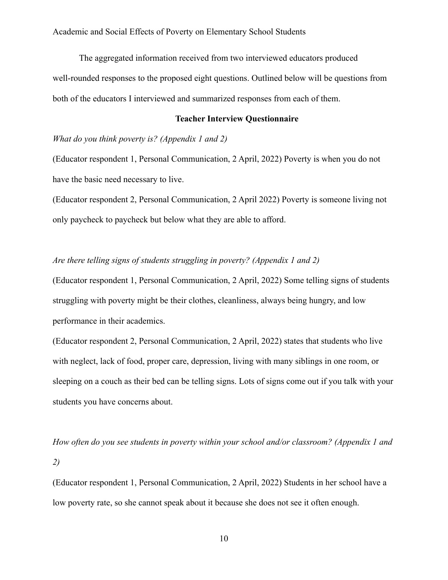The aggregated information received from two interviewed educators produced well-rounded responses to the proposed eight questions. Outlined below will be questions from both of the educators I interviewed and summarized responses from each of them.

#### **Teacher Interview Questionnaire**

# *What do you think poverty is? (Appendix 1 and 2)*

(Educator respondent 1, Personal Communication, 2 April, 2022) Poverty is when you do not have the basic need necessary to live.

(Educator respondent 2, Personal Communication, 2 April 2022) Poverty is someone living not only paycheck to paycheck but below what they are able to afford.

## *Are there telling signs of students struggling in poverty? (Appendix 1 and 2)*

(Educator respondent 1, Personal Communication, 2 April, 2022) Some telling signs of students struggling with poverty might be their clothes, cleanliness, always being hungry, and low performance in their academics.

(Educator respondent 2, Personal Communication, 2 April, 2022) states that students who live with neglect, lack of food, proper care, depression, living with many siblings in one room, or sleeping on a couch as their bed can be telling signs. Lots of signs come out if you talk with your students you have concerns about.

*How often do you see students in poverty within your school and/or classroom? (Appendix 1 and 2)*

(Educator respondent 1, Personal Communication, 2 April, 2022) Students in her school have a low poverty rate, so she cannot speak about it because she does not see it often enough.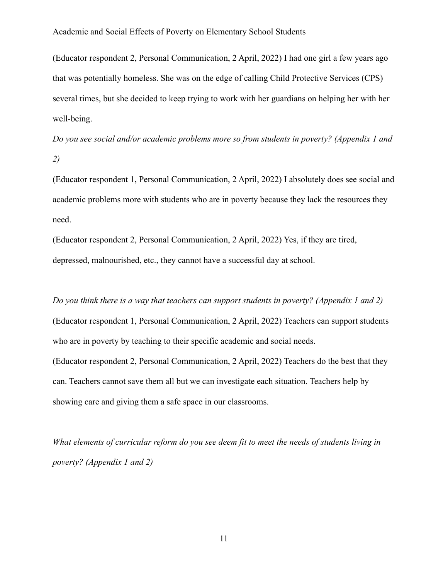(Educator respondent 2, Personal Communication, 2 April, 2022) I had one girl a few years ago that was potentially homeless. She was on the edge of calling Child Protective Services (CPS) several times, but she decided to keep trying to work with her guardians on helping her with her well-being.

*Do you see social and/or academic problems more so from students in poverty? (Appendix 1 and 2)*

(Educator respondent 1, Personal Communication, 2 April, 2022) I absolutely does see social and academic problems more with students who are in poverty because they lack the resources they need.

(Educator respondent 2, Personal Communication, 2 April, 2022) Yes, if they are tired, depressed, malnourished, etc., they cannot have a successful day at school.

*Do you think there is a way that teachers can support students in poverty? (Appendix 1 and 2)* (Educator respondent 1, Personal Communication, 2 April, 2022) Teachers can support students who are in poverty by teaching to their specific academic and social needs. (Educator respondent 2, Personal Communication, 2 April, 2022) Teachers do the best that they can. Teachers cannot save them all but we can investigate each situation. Teachers help by showing care and giving them a safe space in our classrooms.

*What elements of curricular reform do you see deem fit to meet the needs of students living in poverty? (Appendix 1 and 2)*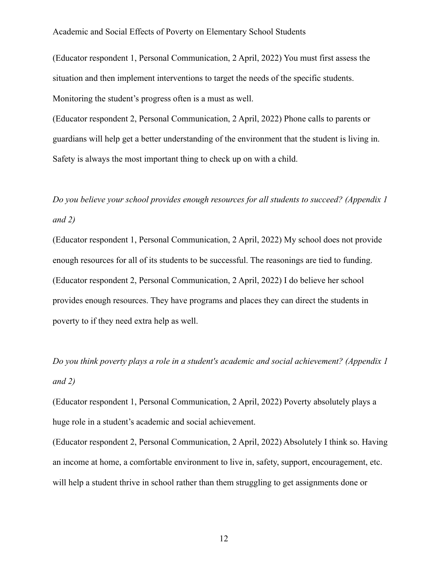(Educator respondent 1, Personal Communication, 2 April, 2022) You must first assess the situation and then implement interventions to target the needs of the specific students. Monitoring the student's progress often is a must as well.

(Educator respondent 2, Personal Communication, 2 April, 2022) Phone calls to parents or guardians will help get a better understanding of the environment that the student is living in. Safety is always the most important thing to check up on with a child.

# *Do you believe your school provides enough resources for all students to succeed? (Appendix 1 and 2)*

(Educator respondent 1, Personal Communication, 2 April, 2022) My school does not provide enough resources for all of its students to be successful. The reasonings are tied to funding. (Educator respondent 2, Personal Communication, 2 April, 2022) I do believe her school provides enough resources. They have programs and places they can direct the students in poverty to if they need extra help as well.

*Do you think poverty plays a role in a student's academic and social achievement? (Appendix 1 and 2)*

(Educator respondent 1, Personal Communication, 2 April, 2022) Poverty absolutely plays a huge role in a student's academic and social achievement.

(Educator respondent 2, Personal Communication, 2 April, 2022) Absolutely I think so. Having an income at home, a comfortable environment to live in, safety, support, encouragement, etc. will help a student thrive in school rather than them struggling to get assignments done or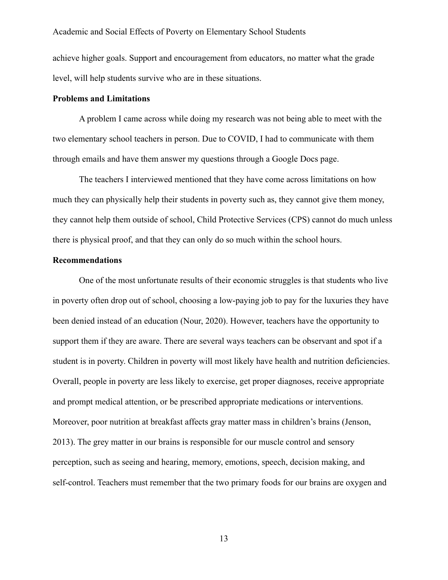achieve higher goals. Support and encouragement from educators, no matter what the grade level, will help students survive who are in these situations.

#### **Problems and Limitations**

A problem I came across while doing my research was not being able to meet with the two elementary school teachers in person. Due to COVID, I had to communicate with them through emails and have them answer my questions through a Google Docs page.

The teachers I interviewed mentioned that they have come across limitations on how much they can physically help their students in poverty such as, they cannot give them money, they cannot help them outside of school, Child Protective Services (CPS) cannot do much unless there is physical proof, and that they can only do so much within the school hours.

#### **Recommendations**

One of the most unfortunate results of their economic struggles is that students who live in poverty often drop out of school, choosing a low-paying job to pay for the luxuries they have been denied instead of an education (Nour, 2020). However, teachers have the opportunity to support them if they are aware. There are several ways teachers can be observant and spot if a student is in poverty. Children in poverty will most likely have health and nutrition deficiencies. Overall, people in poverty are less likely to exercise, get proper diagnoses, receive appropriate and prompt medical attention, or be prescribed appropriate medications or interventions. Moreover, poor nutrition at breakfast affects gray matter mass in children's brains (Jenson, 2013). The grey matter in our brains is responsible for our muscle control and sensory perception, such as seeing and hearing, memory, emotions, speech, decision making, and self-control. Teachers must remember that the two primary foods for our brains are oxygen and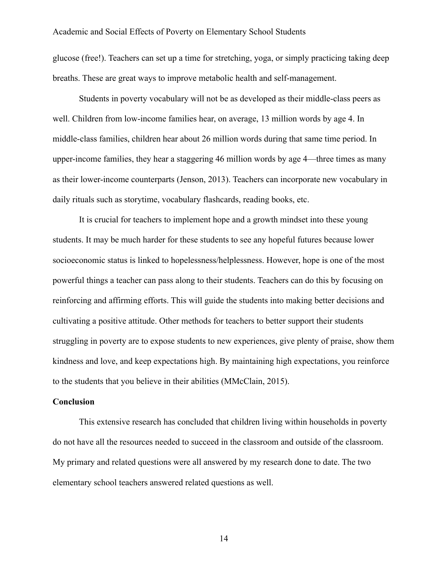glucose (free!). Teachers can set up a time for stretching, yoga, or simply practicing taking deep breaths. These are great ways to improve metabolic health and self-management.

Students in poverty vocabulary will not be as developed as their middle-class peers as well. Children from low-income families hear, on average, 13 million words by age 4. In middle-class families, children hear about 26 million words during that same time period. In upper-income families, they hear a staggering 46 million words by age 4—three times as many as their lower-income counterparts (Jenson, 2013). Teachers can incorporate new vocabulary in daily rituals such as storytime, vocabulary flashcards, reading books, etc.

It is crucial for teachers to implement hope and a growth mindset into these young students. It may be much harder for these students to see any hopeful futures because lower socioeconomic status is linked to hopelessness/helplessness. However, hope is one of the most powerful things a teacher can pass along to their students. Teachers can do this by focusing on reinforcing and affirming efforts. This will guide the students into making better decisions and cultivating a positive attitude. Other methods for teachers to better support their students struggling in poverty are to expose students to new experiences, give plenty of praise, show them kindness and love, and keep expectations high. By maintaining high expectations, you reinforce to the students that you believe in their abilities (MMcClain, 2015).

#### **Conclusion**

This extensive research has concluded that children living within households in poverty do not have all the resources needed to succeed in the classroom and outside of the classroom. My primary and related questions were all answered by my research done to date. The two elementary school teachers answered related questions as well.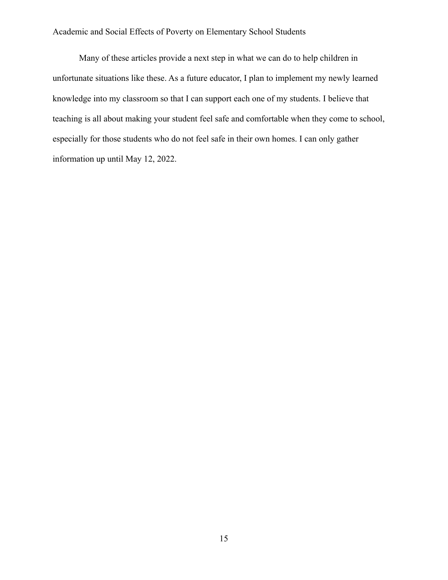Many of these articles provide a next step in what we can do to help children in unfortunate situations like these. As a future educator, I plan to implement my newly learned knowledge into my classroom so that I can support each one of my students. I believe that teaching is all about making your student feel safe and comfortable when they come to school, especially for those students who do not feel safe in their own homes. I can only gather information up until May 12, 2022.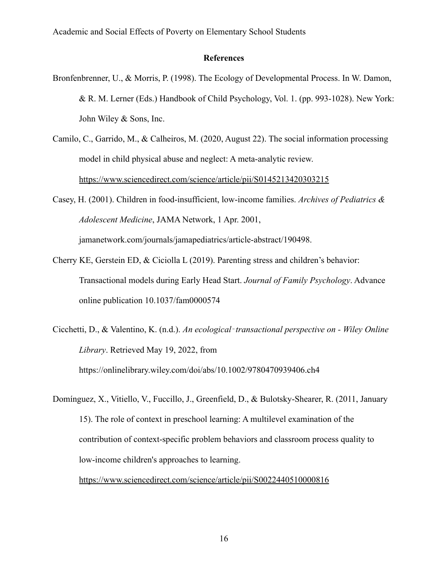#### **References**

- Bronfenbrenner, U., & Morris, P. (1998). The Ecology of Developmental Process. In W. Damon, & R. M. Lerner (Eds.) Handbook of Child Psychology, Vol. 1. (pp. 993-1028). New York: John Wiley & Sons, Inc.
- Camilo, C., Garrido, M., & Calheiros, M. (2020, August 22). The social information processing model in child physical abuse and neglect: A meta-analytic review. <https://www.sciencedirect.com/science/article/pii/S0145213420303215>
- Casey, H. (2001). Children in food-insufficient, low-income families. *Archives of Pediatrics & Adolescent Medicine*, JAMA Network, 1 Apr. 2001, jamanetwork.com/journals/jamapediatrics/article-abstract/190498.
- Cherry KE, Gerstein ED, & Ciciolla L (2019). Parenting stress and children's behavior: Transactional models during Early Head Start. *Journal of Family Psychology*. Advance online publication 10.1037/fam0000574
- Cicchetti, D., & Valentino, K. (n.d.). *An ecological*‐*transactional perspective on Wiley Online Library*. Retrieved May 19, 2022, from https://onlinelibrary.wiley.com/doi/abs/10.1002/9780470939406.ch4
- Domínguez, X., Vitiello, V., Fuccillo, J., Greenfield, D., & Bulotsky-Shearer, R. (2011, January 15). The role of context in preschool learning: A multilevel examination of the contribution of context-specific problem behaviors and classroom process quality to low-income children's approaches to learning.

<https://www.sciencedirect.com/science/article/pii/S0022440510000816>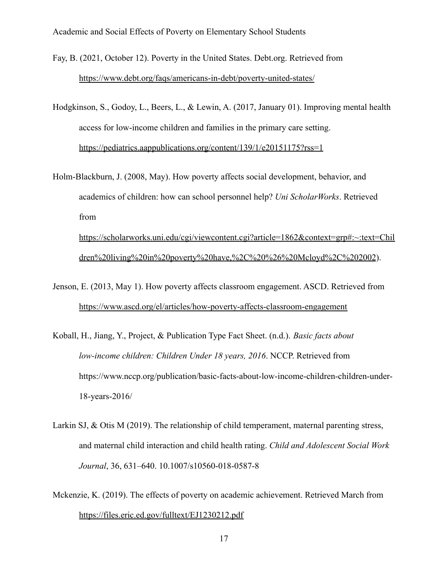Fay, B. (2021, October 12). Poverty in the United States. Debt.org. Retrieved from <https://www.debt.org/faqs/americans-in-debt/poverty-united-states/>

- Hodgkinson, S., Godoy, L., Beers, L., & Lewin, A. (2017, January 01). Improving mental health access for low-income children and families in the primary care setting. <https://pediatrics.aappublications.org/content/139/1/e20151175?rss=1>
- Holm-Blackburn, J. (2008, May). How poverty affects social development, behavior, and academics of children: how can school personnel help? *Uni ScholarWorks*. Retrieved from

[https://scholarworks.uni.edu/cgi/viewcontent.cgi?article=1862&context=grp#:~:text=Chil](https://scholarworks.uni.edu/cgi/viewcontent.cgi?article=1862&context=grp#:~:text=Children%20living%20in%20poverty%20have,%2C%20%26%20Mcloyd%2C%202002) [dren%20living%20in%20poverty%20have,%2C%20%26%20Mcloyd%2C%202002](https://scholarworks.uni.edu/cgi/viewcontent.cgi?article=1862&context=grp#:~:text=Children%20living%20in%20poverty%20have,%2C%20%26%20Mcloyd%2C%202002)).

- Jenson, E. (2013, May 1). How poverty affects classroom engagement. ASCD. Retrieved from <https://www.ascd.org/el/articles/how-poverty-affects-classroom-engagement>
- Koball, H., Jiang, Y., Project, & Publication Type Fact Sheet. (n.d.). *Basic facts about low-income children: Children Under 18 years, 2016*. NCCP. Retrieved from https://www.nccp.org/publication/basic-facts-about-low-income-children-children-under-18-years-2016/
- Larkin SJ, & Otis M (2019). The relationship of child temperament, maternal parenting stress, and maternal child interaction and child health rating. *Child and Adolescent Social Work Journal*, 36, 631–640. 10.1007/s10560-018-0587-8
- Mckenzie, K. (2019). The effects of poverty on academic achievement. Retrieved March from <https://files.eric.ed.gov/fulltext/EJ1230212.pdf>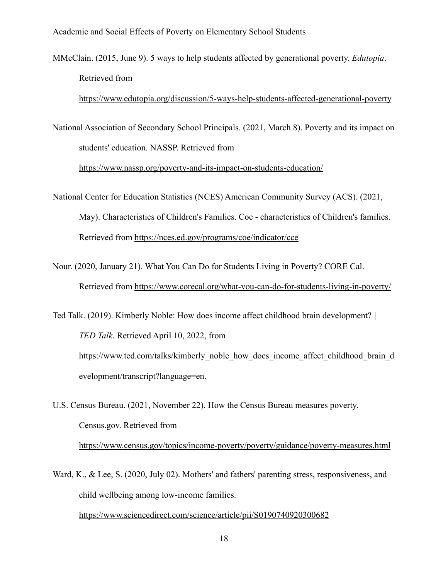MMcClain. (2015, June 9). 5 ways to help students affected by generational poverty. *Edutopia*. Retrieved from

<https://www.edutopia.org/discussion/5-ways-help-students-affected-generational-poverty>

National Association of Secondary School Principals. (2021, March 8). Poverty and its impact on students' education. NASSP. Retrieved from

<https://www.nassp.org/poverty-and-its-impact-on-students-education/>

National Center for Education Statistics (NCES) American Community Survey (ACS). (2021, May). Characteristics of Children's Families. Coe - characteristics of Children's families. Retrieved from <https://nces.ed.gov/programs/coe/indicator/cce>

Nour. (2020, January 21). What You Can Do for Students Living in Poverty? CORE Cal. Retrieved from <https://www.corecal.org/what-you-can-do-for-students-living-in-poverty/>

Ted Talk. (2019). Kimberly Noble: How does income affect childhood brain development? *| TED Talk*. Retrieved April 10, 2022, from https://www.ted.com/talks/kimberly\_noble\_how\_does\_income\_affect\_childhood\_brain\_d evelopment/transcript?language=en.

- U.S. Census Bureau. (2021, November 22). How the Census Bureau measures poverty. Census.gov. Retrieved from <https://www.census.gov/topics/income-poverty/poverty/guidance/poverty-measures.html>
- Ward, K., & Lee, S. (2020, July 02). Mothers' and fathers' parenting stress, responsiveness, and child wellbeing among low-income families. <https://www.sciencedirect.com/science/article/pii/S0190740920300682>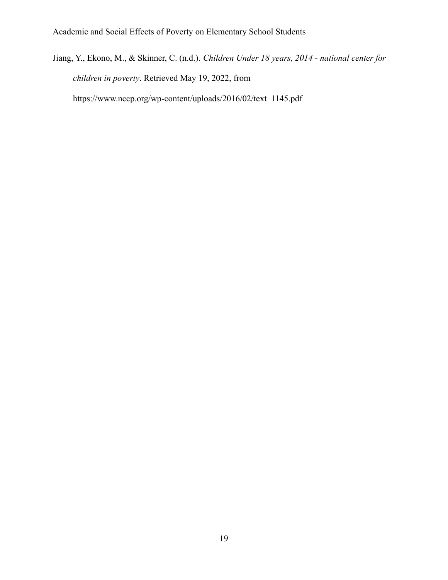Jiang, Y., Ekono, M., & Skinner, C. (n.d.). *Children Under 18 years, 2014 - national center for children in poverty*. Retrieved May 19, 2022, from https://www.nccp.org/wp-content/uploads/2016/02/text\_1145.pdf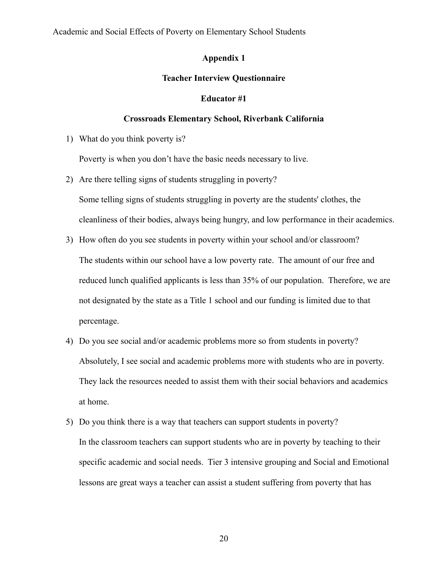# **Appendix 1**

## **Teacher Interview Questionnaire**

#### **Educator #1**

#### **Crossroads Elementary School, Riverbank California**

1) What do you think poverty is?

Poverty is when you don't have the basic needs necessary to live.

- 2) Are there telling signs of students struggling in poverty? Some telling signs of students struggling in poverty are the students' clothes, the cleanliness of their bodies, always being hungry, and low performance in their academics.
- 3) How often do you see students in poverty within your school and/or classroom? The students within our school have a low poverty rate. The amount of our free and reduced lunch qualified applicants is less than 35% of our population. Therefore, we are not designated by the state as a Title 1 school and our funding is limited due to that percentage.
- 4) Do you see social and/or academic problems more so from students in poverty? Absolutely, I see social and academic problems more with students who are in poverty. They lack the resources needed to assist them with their social behaviors and academics at home.
- 5) Do you think there is a way that teachers can support students in poverty? In the classroom teachers can support students who are in poverty by teaching to their specific academic and social needs. Tier 3 intensive grouping and Social and Emotional lessons are great ways a teacher can assist a student suffering from poverty that has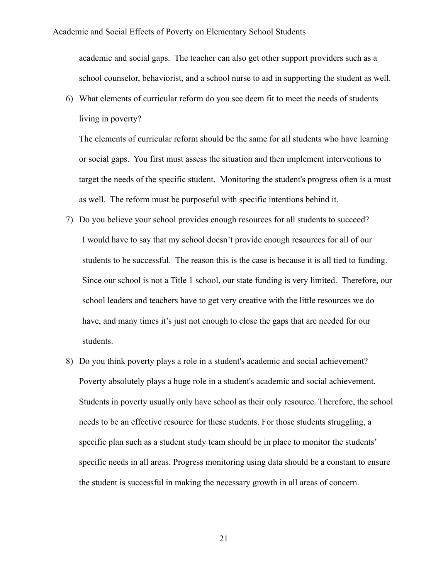academic and social gaps. The teacher can also get other support providers such as a school counselor, behaviorist, and a school nurse to aid in supporting the student as well.

6) What elements of curricular reform do you see deem fit to meet the needs of students living in poverty?

The elements of curricular reform should be the same for all students who have learning or social gaps. You first must assess the situation and then implement interventions to target the needs of the specific student. Monitoring the student's progress often is a must as well. The reform must be purposeful with specific intentions behind it.

- 7) Do you believe your school provides enough resources for all students to succeed? I would have to say that my school doesn't provide enough resources for all of our students to be successful. The reason this is the case is because it is all tied to funding. Since our school is not a Title 1 school, our state funding is very limited. Therefore, our school leaders and teachers have to get very creative with the little resources we do have, and many times it's just not enough to close the gaps that are needed for our students.
- 8) Do you think poverty plays a role in a student's academic and social achievement? Poverty absolutely plays a huge role in a student's academic and social achievement. Students in poverty usually only have school as their only resource. Therefore, the school needs to be an effective resource for these students. For those students struggling, a specific plan such as a student study team should be in place to monitor the students' specific needs in all areas. Progress monitoring using data should be a constant to ensure the student is successful in making the necessary growth in all areas of concern.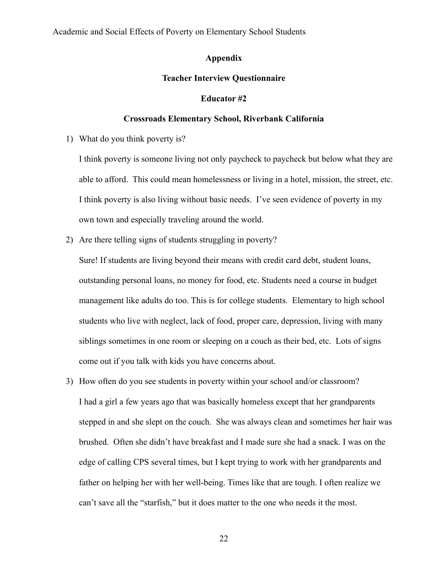## **Appendix**

## **Teacher Interview Questionnaire**

#### **Educator #2**

#### **Crossroads Elementary School, Riverbank California**

1) What do you think poverty is?

I think poverty is someone living not only paycheck to paycheck but below what they are able to afford. This could mean homelessness or living in a hotel, mission, the street, etc. I think poverty is also living without basic needs. I've seen evidence of poverty in my own town and especially traveling around the world.

2) Are there telling signs of students struggling in poverty?

Sure! If students are living beyond their means with credit card debt, student loans, outstanding personal loans, no money for food, etc. Students need a course in budget management like adults do too. This is for college students. Elementary to high school students who live with neglect, lack of food, proper care, depression, living with many siblings sometimes in one room or sleeping on a couch as their bed, etc. Lots of signs come out if you talk with kids you have concerns about.

3) How often do you see students in poverty within your school and/or classroom? I had a girl a few years ago that was basically homeless except that her grandparents stepped in and she slept on the couch. She was always clean and sometimes her hair was brushed. Often she didn't have breakfast and I made sure she had a snack. I was on the edge of calling CPS several times, but I kept trying to work with her grandparents and father on helping her with her well-being. Times like that are tough. I often realize we can't save all the "starfish," but it does matter to the one who needs it the most.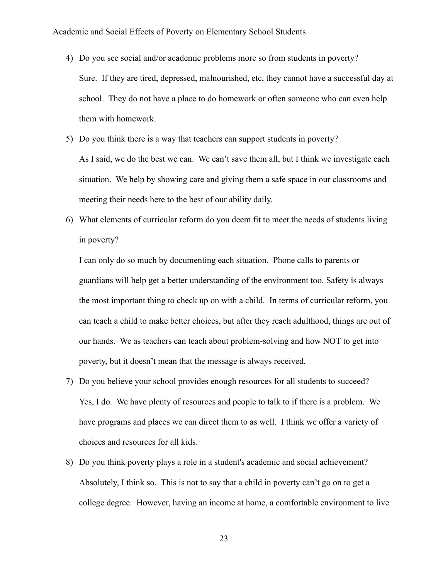- 4) Do you see social and/or academic problems more so from students in poverty? Sure. If they are tired, depressed, malnourished, etc, they cannot have a successful day at school. They do not have a place to do homework or often someone who can even help them with homework.
- 5) Do you think there is a way that teachers can support students in poverty? As I said, we do the best we can. We can't save them all, but I think we investigate each situation. We help by showing care and giving them a safe space in our classrooms and meeting their needs here to the best of our ability daily.
- 6) What elements of curricular reform do you deem fit to meet the needs of students living in poverty?

I can only do so much by documenting each situation. Phone calls to parents or guardians will help get a better understanding of the environment too. Safety is always the most important thing to check up on with a child. In terms of curricular reform, you can teach a child to make better choices, but after they reach adulthood, things are out of our hands. We as teachers can teach about problem-solving and how NOT to get into poverty, but it doesn't mean that the message is always received.

- 7) Do you believe your school provides enough resources for all students to succeed? Yes, I do. We have plenty of resources and people to talk to if there is a problem. We have programs and places we can direct them to as well. I think we offer a variety of choices and resources for all kids.
- 8) Do you think poverty plays a role in a student's academic and social achievement? Absolutely, I think so. This is not to say that a child in poverty can't go on to get a college degree. However, having an income at home, a comfortable environment to live